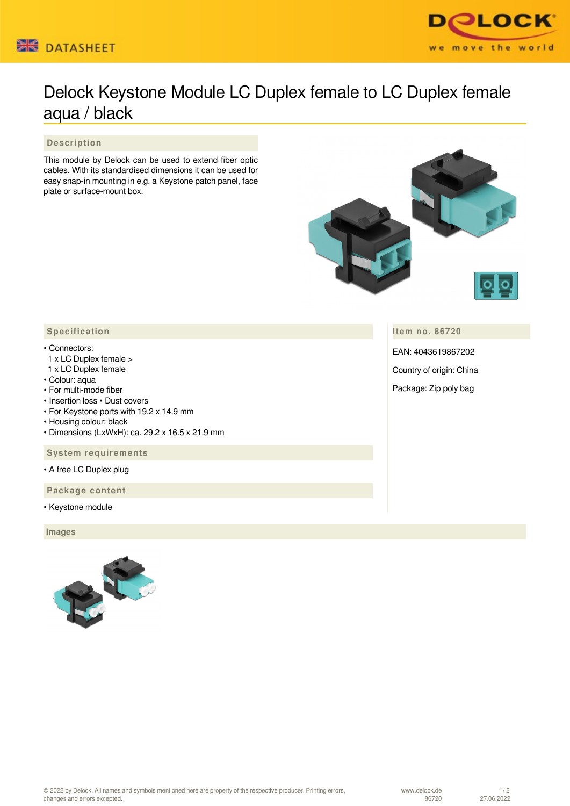



## Delock Keystone Module LC Duplex female to LC Duplex female aqua / black

 **Description**

This module by Delock can be used to extend fiber optic cables. With its standardised dimensions it can be used for easy snap-in mounting in e.g. a Keystone patch panel, face plate or surface-mount box.



**Item no. 86720**

EAN: 4043619867202

Country of origin: China

Package: Zip poly bag

## • Connectors:

- 1 x LC Duplex female >
- 1 x LC Duplex female
- Colour: aqua
- For multi-mode fiber
- Insertion loss Dust covers
- For Keystone ports with 19.2 x 14.9 mm
- Housing colour: black
- Dimensions (LxWxH): ca. 29.2 x 16.5 x 21.9 mm

 **System requirements**

• A free LC Duplex plug

 **Package content**

• Keystone module

 **Images**